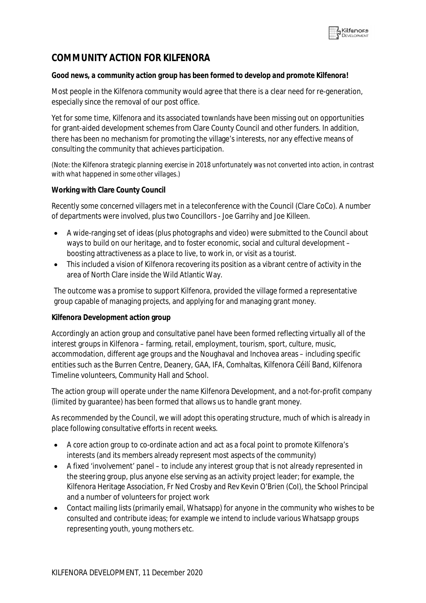

# **COMMUNITY ACTION FOR KILFENORA**

#### *Good news, a community action group has been formed to develop and promote Kilfenora!*

Most people in the Kilfenora community would agree that there is a clear need for re-generation, especially since the removal of our post office.

Yet for some time, Kilfenora and its associated townlands have been missing out on opportunities for grant-aided development schemes from Clare County Council and other funders. In addition, there has been no mechanism for promoting the village's interests, nor any effective means of consulting the community that achieves participation.

*(Note: the Kilfenora strategic planning exercise in 2018 unfortunately was not converted into action, in contrast with what happened in some other villages.)*

#### **Working with Clare County Council**

Recently some concerned villagers met in a teleconference with the Council (Clare CoCo). A number of departments were involved, plus two Councillors - Joe Garrihy and Joe Killeen.

- A wide-ranging set of ideas (plus photographs and video) were submitted to the Council about ways to build on our heritage, and to foster economic, social and cultural development – boosting attractiveness as a place to live, to work in, or visit as a tourist.
- This included a vision of Kilfenora recovering its position as a vibrant centre of activity in the area of North Clare inside the Wild Atlantic Way.

The outcome was a promise to support Kilfenora, provided the village formed a representative group capable of managing projects, and applying for and managing grant money.

#### **Kilfenora Development action group**

Accordingly an action group and consultative panel have been formed reflecting virtually all of the interest groups in Kilfenora – farming, retail, employment, tourism, sport, culture, music, accommodation, different age groups and the Noughaval and Inchovea areas – including specific entities such as the Burren Centre, Deanery, GAA, IFA, Comhaltas, Kilfenora Céilí Band, Kilfenora Timeline volunteers, Community Hall and School.

The action group will operate under the name Kilfenora Development, and a not-for-profit company (limited by guarantee) has been formed that allows us to handle grant money.

As recommended by the Council, we will adopt this operating structure, much of which is already in place following consultative efforts in recent weeks.

- A core action group to co-ordinate action and act as a focal point to promote Kilfenora's interests (and its members already represent most aspects of the community)
- A fixed 'involvement' panel to include any interest group that is not already represented in the steering group, plus anyone else serving as an activity project leader; for example, the Kilfenora Heritage Association, Fr Ned Crosby and Rev Kevin O'Brien (CoI), the School Principal and a number of volunteers for project work
- Contact mailing lists (primarily email, Whatsapp) for anyone in the community who wishes to be consulted and contribute ideas; for example we intend to include various Whatsapp groups representing youth, young mothers etc.